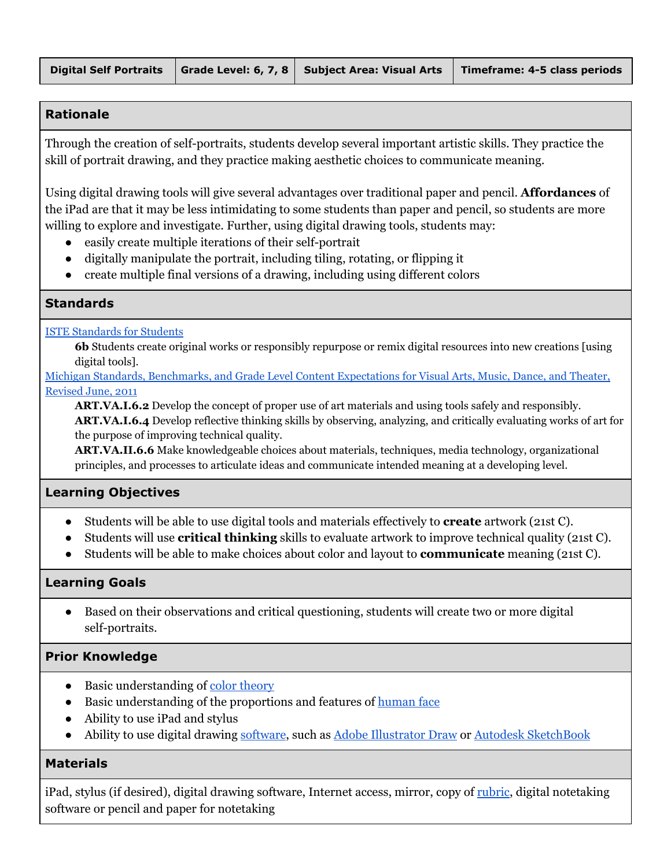## **Rationale**

Through the creation of self-portraits, students develop several important artistic skills. They practice the skill of portrait drawing, and they practice making aesthetic choices to communicate meaning.

Using digital drawing tools will give several advantages over traditional paper and pencil. **Affordances** of the iPad are that it may be less intimidating to some students than paper and pencil, so students are more willing to explore and investigate. Further, using digital drawing tools, students may:

- easily create multiple iterations of their self-portrait
- digitally manipulate the portrait, including tiling, rotating, or flipping it
- create multiple final versions of a drawing, including using different colors

### **Standards**

ISTE [Standards](https://www.iste.org/standards/standards/for-students) for Students

**6b** Students create original works or responsibly repurpose or remix digital resources into new creations [using digital tools].

Michigan Standards, [Benchmarks,](http://www.michigan.gov/documents/mde/Complete_VPAA_Expectations_June_2011_356110_7_458390_7.pdf) and Grade Level Content Expectations for Visual Arts, Music, Dance, and Theater, [Revised](http://www.michigan.gov/documents/mde/Complete_VPAA_Expectations_June_2011_356110_7_458390_7.pdf) June, 2011

**ART.VA.I.6.2** Develop the concept of proper use of art materials and using tools safely and responsibly. **ART.VA.I.6.4** Develop reflective thinking skills by observing, analyzing, and critically evaluating works of art for the purpose of improving technical quality.

**ART.VA.II.6.6** Make knowledgeable choices about materials, techniques, media technology, organizational principles, and processes to articulate ideas and communicate intended meaning at a developing level.

## **Learning Objectives**

- Students will be able to use digital tools and materials effectively to **create** artwork (21st C).
- Students will use **critical thinking** skills to evaluate artwork to improve technical quality (21st C).
- Students will be able to make choices about color and layout to **communicate** meaning (21st C).

### **Learning Goals**

● Based on their observations and critical questioning, students will create two or more digital self-portraits.

## **Prior Knowledge**

- Basic understanding of color [theory](http://www.tigercolor.com/color-lab/color-theory/color-theory-intro.htm)
- Basic understanding of the proportions and features of [human](http://rapidfireart.com/2015/12/07/how-to-draw-a-face-in-8-steps/) face
- Ability to use iPad and stylus
- Ability to use digital drawing [software](http://www.creativebloq.com/digital-art/art-on-the-ipad-1232669), such as Adobe [Illustrator](https://itunes.apple.com/us/app/adobe-illustrator-draw/id911156590?mt=8) Draw or Autodesk [SketchBook](https://itunes.apple.com/us/app/autodesk-sketchbook/id883738213?mt=8)

### **Materials**

iPad, stylus (if desired), digital drawing software, Internet access, mirror, copy of [rubric](https://drive.google.com/open?id=0B7i2jblyFc5vUkU0SElZVXJHX1U), digital notetaking software or pencil and paper for notetaking